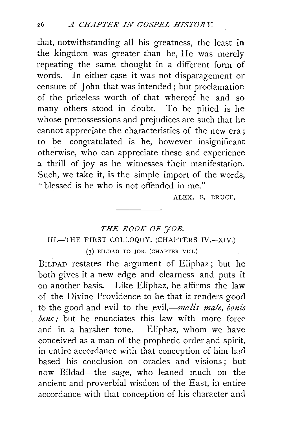that, notwithstanding all his greatness, the least in the kingdom was greater than he, He was merely repeating the same thought in a different form of words. In either case it was not disparagement or censure of John that was intended ; but proclamation of the priceless worth of that whereof he and so many others stood in doubt. To be pitied is he whose prepossessions and prejudices are such that he cannot appreciate the characteristics of the new era ; to be congratulated is he, however insignificant otherwise, who can appreciate these and experience a thrill of joy as he witnesses their manifestation. Such, we take it, is the simple import of the words, "blessed is he who is not offended in me."

ALEX. B. BRUCE.

## THE BOOK OF  $\widetilde{\tau}$ OB. III.-THE FIRST COLLOQUY. (CHAPTERS IV.-XIV.) (3) BILDAD TO JOB. (CHAPTER VIII.)

BrLDAD restates the argument of Eliphaz; but he both gives it a new edge and clearness and puts it on another basis. Like Eliphaz, he affirms the law of the Divine Providence to be that it renders good to the good and evil to the evil,—*malis male*, bonis *bene*: but he enunciates this law with more force and in a harsher tone. Eliphaz, whom we have conceived as a man of the prophetic order and spirit, in entire accordance with that conception of him had based his conclusion on oracles and visions; but now Bildad-the sage, who leaned much on the ancient and proverbial wisdom of the East, in entire accordance with that conception of his character and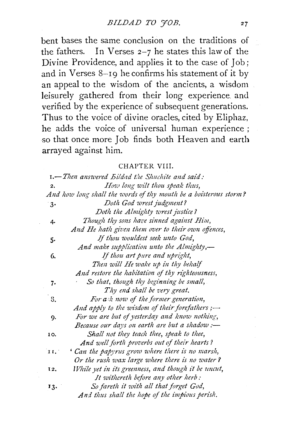bent bases the same conclusion on the traditions of the fathers. In Verses  $2-7$  he states this law of the Divine Providence, and applies it to the case of Job; and in Verses 8-19 he confirms his statement of it by an appeal to the wisdom of the ancients, a wisdom leisurely gathered from their long experience and verified by the experience of subsequent generations. Thus to the voice of divine oracles, cited by Eliphaz, he adds the voice of universal human experience ; so that once more Job finds both Heaven and earth arrayed against him.

#### CHAPTER VIII.

|     | <b>1.</b> Then answered Bildad the Shuchite and said:            |
|-----|------------------------------------------------------------------|
| 2.  | How long wilt thou speak thus,                                   |
|     | And how long shall the words of thy mouth be a boisterous storm? |
| 3.  | Doth God wrest judgment?                                         |
|     | Doth the Almighty wrest justice?                                 |
| 4.  | Though thy sons have sinned against Him,                         |
|     | And He hath given them over to their own offences,               |
| 5.  | If thou wouldest seek unto God,                                  |
|     | And make supplication unto the Almighty,—                        |
| 6.  | If thou art pure and upright,                                    |
|     | Then will He wake up in thy behalf                               |
|     | And restore the habitation of thy righteousness,                 |
| 7.  | So that, though thy beginning be small,                          |
|     | Thy end shall be very great.                                     |
| S.  | For a k now of the former generation,                            |
|     | And apply to the wisdom of their forefathers $:=$                |
| 9.  | For we are but of yesterday and know nothing,                    |
|     | Because our days on earth are but a shadow :-                    |
| 10. | Shall not they teach thee, speak to thee,                        |
|     | And well forth proverbs out of their hearts?                     |
| 11. | Can the papyrus grow where there is no marsh,                    |
|     | Or the rush wax large where there is no water ?                  |
| 12. | While yet in its greenness, and though it be uncut,              |
|     | It withereth before any other herb:                              |
| 13. | So fareth it with all that forget God,                           |
|     | And thus shall the hope of the impious perish.                   |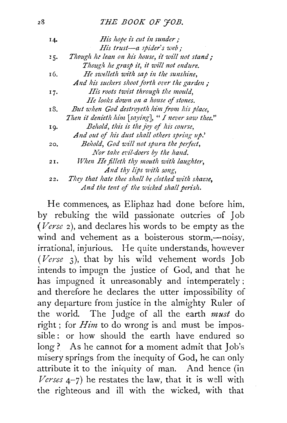#### z8 *THE BOOK OF 'JOB.*

| 14. | His hope is cut in sunder;                         |
|-----|----------------------------------------------------|
|     | His trust—a spider's web;                          |
| 15. | Though he lean on his house, it will not stand;    |
|     | Though he grasp it, it will not endure.            |
| 16. | He swelleth with sap in the sunshine,              |
|     | And his suckers shoot forth over the garden;       |
| 17. | His roots twist through the mould,                 |
|     | He looks down on a house of stones.                |
| 18. | But when God destroyeth him from his place,        |
|     | Then it denieth him [saying], " I never saw thee." |
| 19. | Behold, this is the joy of his course,             |
|     | And out of his dust shall others spring up.'       |
| 20. | Behold, God will not spurn the perfect,            |
|     | Nor take evil-doers by the hand.                   |
| 21. | When He filleth thy mouth with laughter,           |
|     | And thy lips with song,                            |
| 22. | They that hate thee shall be clothed with shame.   |
|     | And the tent of the wicked shall perish.           |

He commences, as Eliphaz had done before him, by rebuking the wild passionate outcries of Job (Verse 2), and declares his words to be empty as the wind and vehement as a boisterous storm,-noisy, irrational, injurious. He quite understands, however *(Verse* 3), that by his wild vehement words Job intends to impugn the justice of God, and that he has impugned it unreasonably and intemperately ; and therefore he declares the utter impossibility of any departure from justice in the almighty Ruler of the world. The Judge of all the earth *must* do right ; for *Him* to do wrong is and must be impossible : or how should the earth have endured so long? As he cannot for a moment admit that Job's misery springs from the inequity of God, he can only attribute it to the iniquity of man. And hence (in *Verses*  $4-7$ ) he restates the law, that it is well with the righteous and ill with the wicked, with that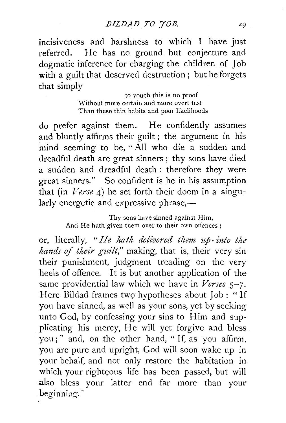$incisiveness$  and harshness to which I have just referred. He has no ground but conjecture and dogmatic inference for charging the children of Job with a guilt that deserved destruction ; but he forgets that simply

> to vouch this is no proof Without more certain and more overt test Than these thin habits and poor likelihoods

do prefer against them. He confidently assumes and bluntly affirms their guilt ; the argument in his mind seeming to be, " All who die a sudden and dreadful death are great sinners ; thy sons have died a sudden and dreadful death : therefore they were great sinners." So confident is he in his assumption that (in *Verse* 4) he set forth their doom in a singularly energetic and expressive phrase,—

> Thy sons have sinned against Him, And He hath given them over to their own offences ;

or, literally, "He hath delivered them up into the *hands of their guilt,"* making, that is, their very sin their punishment, judgment treading on the very heels of offence. It is but another application of the same providential law which we have in *Verses* 5-7. Here Bildad frames two hypotheses about Job : " If you have sinned, as well as your sons, yet by seeking unto God, by confessing your sins to Him and supplicating his mercy, He will yet forgive and bless you ; " and, on the other hand, " If, as you affirm, you are pure and upright, God will soon wake up in your behalf, and not only restore the habitation in which your righteous life has been passed, but will also bless your latter end far more than your beginning."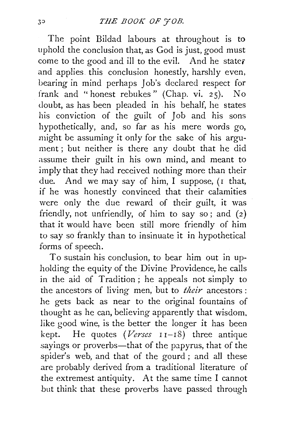The point Bildad labours at throughout is to uphold the conclusion that, as God is just, good must come to the good and ill to the evil. And he states and applies this conclusion honestly, harshly even, bearing in mind perhaps Job's declared respect for frank and " honest rebukes " (Chap. vi. 2 5). No doubt, as has been pleaded in his behalf, he states his conviction of the guilt of Job and his sons hypothetically, and, so far as his mere words go, might be assuming it only for the sake of his argument; but neither is there any doubt that he did assume their guilt in his own mind, and meant to imply that they had received nothing more than their due. And we may say of him, I suppose, (I that, if he was honestly convinced that their calamities were only the due reward of their guilt, it was friendly, not unfriendly, of him to say so; and  $(2)$ that it would have been still more friendly of him to say so frankly than to insinuate it in hypothetical forms of speech.

To sustain his conclusion, to bear him out in upholding the equity of the Divine Providence, he calls in the aid of Tradition ; he appeals not simply to the ancestors of living men, but to *their* ancestors : he gets back as near to the original fountains of thought as he can, believing apparently that wisdom. like good wine, is the better the longer it has been kept. He quotes *(Verses* I I-I8) three antique sayings or proverbs-that of the papyrus, that of the spider's web, and that of the gourd ; and all these are probably derived from a traditional literature of the extremest antiquity. At the same time I cannot but think that these proverbs have passed through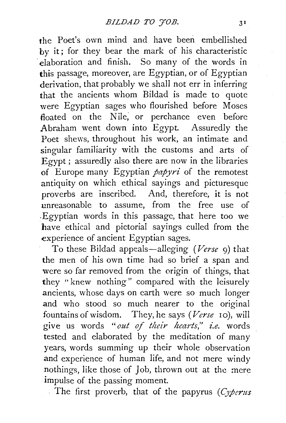the Poet's own mind and have been embellished by it; for they bear the mark of his characteristic elaboration and finish. So many of the words in **this** passage, moreover, are Egyptian, or of Egyptian derivation, that probably we shall not err in inferring that the ancients whom Bildad is made to quote were Egyptian sages who flourished before Moses floated on the Nile; or perchance even before Abraham went down into Egypt. Assuredly the Poet shews, throughout his work, an intimate and singular familiarity with the customs and arts of Egypt; assuredly also there are now in the libraries of Europe many Egyptian *papyri* of the remotest antiquity on which ethical sayings and picturesque proverbs are inscribed. And, therefore, it is not unreasonable to assume, from the free use of .Egyptian words in this passage, that here too we have ethical and pictorial sayings culled from the experience of ancient Egyptian sages.

To these Bildad appeals-alleging *(Verse* 9) that the men of his own time had so brief a span and were so far removed from the origin of things, that they "knew nothing" compared with the leisurely ancients, whose days on earth were so much longer and who stood so much nearer to the original fountains of wisdom. They, he says *(Verse* IO), will give us words "out of their hearts," i.e. words tested and elaborated by the meditation of many years, words summing up their whole observation and experience of human life, and not mere windy nothings, like those of Job, thrown out at the mere impulse of the passing moment.

The first proverb, that of the papyrus (Cyperus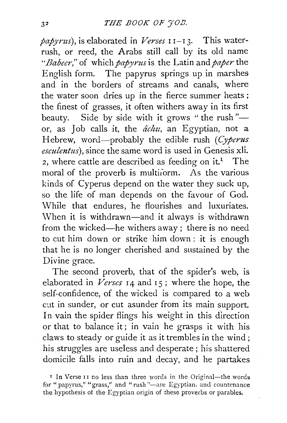*papyrus),* is elaborated in *Verses* I I-I 3· This waterrush, or reed, the Arabs still call by its old name *"Babeer,''* of which *papyrus* is the Latin and *paper* the English form. The papyrus springs up in marshes and in the borders of streams and canals, where the water soon dries up in the fierce summer heats ; the finest of grasses, it often withers away in its first beauty. Side by side with it grows "the rush"or, as Job calls it, the  $\hat{a}chu$ , an Egyptian, not a Hebrew, word-probably the edible rush *(Cyperus esculentus),* since the same word is used in Genesis xli. 2, where cattle are described as feeding on  $it^1$ . The moral of the proverb is multiorm. As the various kinds of Cyperus depend on the water they suck up, so the life of man depends on the favour of God. While that endures, he flourishes and luxuriates. \Vhen it is withdrawn-and it always is withdrawn from the wicked-he withers away; there is no need to cut him down or strike him down : it is enough that he is no longer cherished and sustained by the Divine grace.

The second proverb, that of the spider's web, is elaborated in  *I4 and I5; where the hope, the* self-confidence, of the wicked is compared to a web cut in sunder, or cut asunder from its main support. In vain the spider flings his weight in this direction or that to balance it; in vain he grasps it with his claws to steady or guide it as it trembles in the wind; his struggles are useless and desperate ; his shattered domicile falls into ruin and decay, and he partakes

<sup>&</sup>lt;sup>1</sup> In Verse <sup>11</sup> no less than three words in the Original-the words for "papyrus," "grass," and "rush"-are Egyptian, and countenance the hypothesis of the Egyptian origin of these proverbs or parables.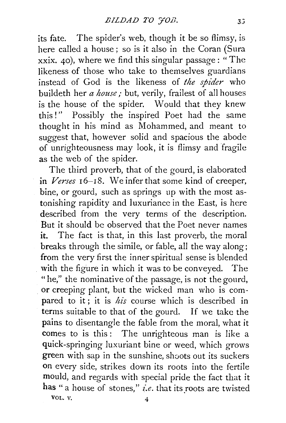its fate. The spider's web, though it be so flimsy, is here called a house; so is it also in the Coran (Sura xxix. 40), where we find this singular passage: "The likeness of those who take to themselves guardians instead of God is the likeness of *the spider* who buildeth her *a house;* but, verily, frailest of all houses is the house of the spider. Would that they knew this!" Possibly the inspired Poet had the same thought in his mind as Mohammed, and meant to suggest that, however solid and spacious the abode of unrighteousness may look, it is flimsy and fragile as the web of the spider.

The third proverb, that of the gourd, is elaborated in *Verses* 16-18. We infer that some kind of creeper, bine, or gourd, such as springs up with the most astonishing rapidity and luxuriance in the East, is here described from the very terms of the description. But it should be observed that the Poet never names it. The fact is that, in this last proverb, the moral breaks through the simile, or fable, all the way along; from the very first the inner spiritual sense is blended with the figure in which it was to be conveyed. The "he," the nominative of the passage, is not the gourd, or creeping plant, but the wicked man who is compared to it; it is *his* course which is described in terms suitable to that of the gourd. If we take the pains to disentangle the fable from the moral, what it comes to is this: The unrighteous man is like a quick-springing luxuriant bine or weed, which grows green with sap in the sunshine, shoots out its suckers on every side, strikes down its roots into the fertile mould, and regards with special pride the fact that it has " a house of stones," *i.e.* that its roots are twisted VOL.  $V.$  4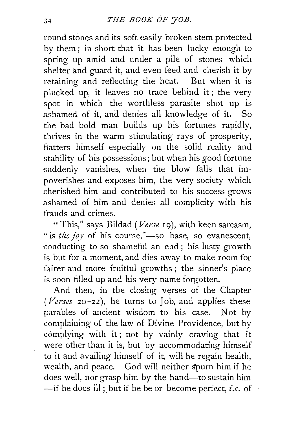round stones and its soft easily broken stem protected by them; in short that it has been lucky enough to spring up amid and under a pile of stones which shelter and guard it, and even feed and cherish it by retaining and reflecting the heat. But when it is plucked up, it leaves no trace behind it; the very spot in which the worthless parasite shot up is ashamed of it, and denies all knowledge of it. So the bad bold man builds up his fortunes rapidly, thrives in the warm stimulating rays of prosperity, flatters himself especially on the solid reality and stability of his possessions; but when his good fortune suddenly vanishes, when the blow falls that impoverishes and exposes him, the very society which cherished him and contributed to his success grows ashamed of him and denies all complicity with his frauds and crimes.

"This," says Bildad *(Verse* 19), with keen sarcasm, " is *the joy* of his course,"—so base, so evanescent, conducting to so shameful an end ; his lusty growth is but for a moment, and dies away to make room for fairer and more fruitful growths; the sinner's place is soon filled up and his very name forgotten.

And then, in the closing verses of the Chapter *{Verses* 20-22), he turns to Job, and applies these parables of ancient wisdom to his case. Not by complaining of the law of Divine Providence, but by complying with it; not by vainly craving that it were other than it is, but by accommodating himself . to it and availing himself of it, will he regain health, wealth, and peace. God will neither spurn him if he does well, nor grasp him by the hand-to sustain him -if he does ill;, but if he be or become perfect, *£.e.* of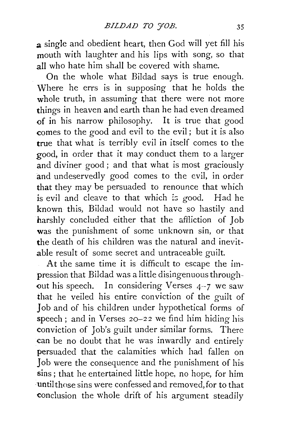a single and obedient heart, then God will yet fill his mouth with laughter and his lips with song, so that all who hate him shall be covered with shame.

On the whole what Bildad says is true enough. Where he errs is in supposing that he holds the whole truth, in assuming that there were not more things in heaven and earth than he had even dreamed of in his narrow philosophy. It is true that good comes to the good and evil to the evil; but it is also true that what is terribly evil in itself comes to the good, in order that it may conduct them to a larger and diviner good; and that what is most graciously and undeservedly good comes to the evil, in order that they may be persuaded to renounce that which is evil and cleave to that which is good. Had he known this, Bildad would not have so hastily and harshly concluded either that the affliction of Job was the punishment of some unknown sin, or that the death of his children was the natural and inevitable result of some secret and untraceable guilt.

At the same time it is difficult to escape the impression that Bildad was a little disingenuous throughout his speech. In considering Verses  $4-7$  we saw that he veiled his entire conviction of the guilt of Job and of his children under hypothetical forms of speech ; and in Verses 20-22 we find him hiding his conviction of Job's guilt under similar forms. There can be no doubt that he was inwardly and entirely persuaded that the calamities which had fallen on Job were the consequence and the punishment of his sins ; that he entertained little hope, no hope, for him until those sins were confessed and removed,for to that conclusion the whole drift of his argument steadily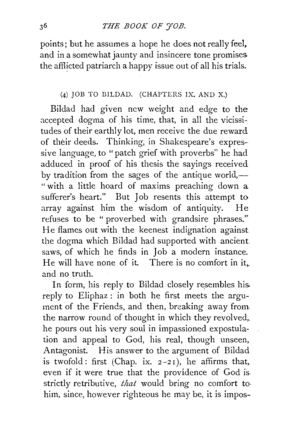points; but he assumes a hope he does not really feel. and in a somewhat jaunty and insincere tone promises the afflicted patriarch a happy issue out of all his trials.

### (4) JOB TO BILDAD. (CHAPTERS IX. AND X.)

Bildad had given new weight and edge to the accepted dogma of his time, that, in all the vicissitudes of their earthly lot, men receive the due reward of their deeds. Thinking, in Shakespeare's expressive language, to "patch grief with proverbs'' he had adduced in proof of his thesis the sayings received by tradition from the sages of the antique world, $-$ " with a little hoard of maxims preaching down a sufferer's heart." But Job resents this attempt to array against him the wisdom of antiquity. He refuses to be " proverbed with grandsire phrases." He flames out with the keenest indignation against the dogma which Bildad had supported with ancient saws, of which he finds in Job a modern instance. He will have none of it. There is no comfort in it,. and no truth.

In form, his reply to Bildad closely resembles his. reply to Eliphaz : in both he first meets the argument of the Friends, and then, breaking away from the narrow round of thought in which they revolved,. he pours out his very soul in impassioned expostulation and appeal to God, his real, though unseen, Antagonist. His answer to the argument of Bildad is twofold: first (Chap. ix.  $2-21$ ), he affirms that, even if it were true that the providence of God is. strictly retributive, *that* would bring no comfort to· him, since, however righteous he may be, it is impos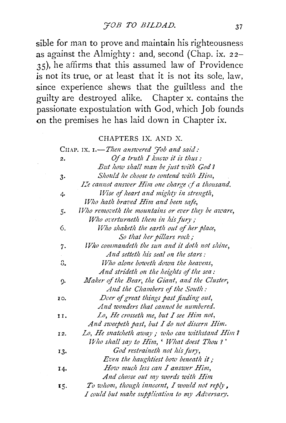sible for man to prove and maintain his righteousness as against the Almighty: and, second (Chap. ix. 22- 35), he affirms that this assumed law of Providence is not its true, or at least that it is not its sole, law, since experience shews that the guiltless and the guilty are destroyed alike. Chapter x. contains the passionate expostulation with God, which Job founds on the premises he has laid down in Chapter ix.

#### CHAPTERS IX. AND X.

|      | CHAP. IX. I.-Then answered <i>Fob and said</i> :  |
|------|---------------------------------------------------|
| 2.   | Of a truth I know it is thus:                     |
|      | But how shall man be just with God?               |
| $3-$ | Should he choose to contend with Him,             |
|      | Le cannot answer Him one charge of a thousand.    |
| 4.   | Wise of heart and mighty in strength,             |
|      | Who hath braved Him and been safe,                |
| 5.   | Who removeth the mountains or ever they be aware, |
|      | Who overturneth them in his fury;                 |
| 6.   | Who shaketh the earth out of her place,           |
|      | So that her pillars rock;                         |
| 7.   | Who commandeth the sun and it doth not shine,     |
|      | And setteth his seal on the stars:                |
| 8.   | Who alone boweth down the heavens,                |
|      | And strideth on the heights of the sea:           |
| 9.   | Maker of the Bear, the Giant, and the Cluster,    |
|      | And the Chambers of the South:                    |
| 10.  | Doer of great things past finding out,            |
|      | And wonders that cannot be numbered.              |
| 11.  | Lo, He crosseth me, but I see Him not,            |
|      | And sweepeth past, but I do not discern Him.      |
| 12.  | Lo, He snatcheth away ; who can withstand Him?    |
|      | Who shall say to Him, ' What doest Thou ?'        |
| 13.  | God restraineth not his fury,                     |
|      | Even the haughtiest bow beneath it;               |
| 14.  | How much less can I answer Him,                   |
|      | And choose out my words with Him                  |
| 15.  | To whom, though innocent, I would not reply,      |
|      | I could but make supplication to my Adversary.    |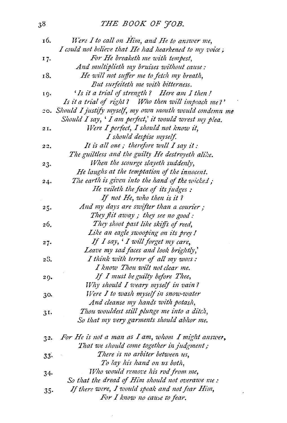# 38 *THE BOOK OF J'OB.*

| 16.            | Were I to call on Him, and He to answer me,                |
|----------------|------------------------------------------------------------|
|                | I could not believe that He had hearkened to my voice;     |
| 17.            | For He breaketh me with tempest,                           |
|                | And multiplieth my bruises without cause:                  |
| 18.            | He will not suffer me to fetch my breath,                  |
|                | But surfeiteth me with bitterness.                         |
| 19.            | 'Is it a trial of strength? Here am I then!                |
|                | Is it a trial of right? Who then will impeach me?'         |
|                | 20. Should I justify myself, my own mouth would condemn me |
|                | Should I say, ' I am perfect,' it would wrest my plea.     |
| 2I.            | Were I perfect, I should not know it,                      |
|                | I should despise myself.                                   |
| 22,            | It is all one; therefore will I say it:                    |
|                | The guiltless and the guilty He destroyeth alike.          |
| 23.            | When the scourge slayeth suddenly,                         |
|                | He laughs at the temptation of the innocent.               |
| 24.            | The earth is given into the hand of the wicked;            |
|                | He veileth the face of its judges :                        |
|                | If not He, who then is it?                                 |
| 25.            | And my days are swifter than a courier;                    |
|                | They flit away; they see no good:                          |
| 26.            | They shoot past like skiffs of reed,                       |
|                | Like an eagle swooping on its prey!                        |
| 27.            | If I say, ' I will forget my care,                         |
|                | Leave my sad faces and look brightly,'                     |
| 28.            | I think with terror of all my woes:                        |
|                | I know Thou wilt not clear me.                             |
| 29.            | If I must be guilty before Thee,                           |
|                | Why should I weary myself in vain?                         |
| 30.            | Were I to wash myself in snow-water                        |
|                | And cleanse my hands with potash,                          |
| 3I.            | Thou wouldest still plunge me into a ditch,                |
|                | So that my very garments should abhor me.                  |
|                | For He is not a man as I am, whom I might answer,          |
| 3 <sup>2</sup> | That we should come together in judgment;                  |
| $33 -$         | There is no arbiter between us,                            |
|                | To lay his hand on us both,                                |
| $34-$          | Who would remove his rod from me,                          |
|                | So that the dread of Him should not overawe me :           |
| $35-$          | If there were, I would speak and not fear Him,             |
|                | For I know no cause to fear.                               |
|                |                                                            |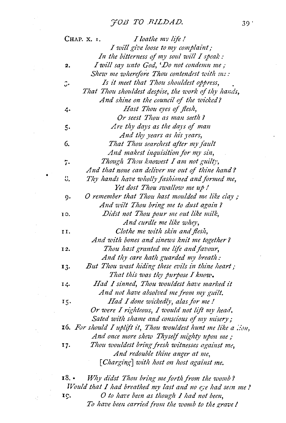|       | I loathe my life!<br>Снар. х. 1.                               |
|-------|----------------------------------------------------------------|
|       | I will give loose to my complaint;                             |
|       | In the bitterness of my soul will I speak :                    |
| 2.    | I will say unto God, 'Do not condemn me;                       |
|       | Shew me wherefore Thou contendest with me:                     |
| ه.    | Is it meet that Thou shouldest oppress,                        |
|       | That Thou shouldest despise, the work of thy hands,            |
|       | And shine on the council of the wicked?                        |
| 4.    | Hast Thou eyes of flesh,                                       |
|       | Or seest Thou as man seeth?                                    |
| 5.    | Are thy days as the days of man                                |
|       | And thy years as his years,                                    |
| 6.    | That Thou searchest after my fault                             |
|       | And makest inquisition for my sin,                             |
| 7.    | Though Thou knowest I am not guilty,                           |
|       | And that none can deliver me out of thine hand?                |
| ΰ.    | Thy hands have wholly fashioned and formed me,                 |
|       | Yet dost Thou swallow me up!                                   |
| g.    | O remember that Thou hast moulded me like clay;                |
|       | And wilt Thou bring me to dust again?                          |
| 10.   | Didst not Thou pour me out like milk,                          |
|       | And curdle me like whey,                                       |
| 11.   | Clothe me with skin and flesh,                                 |
|       | And with bones and sinews knit me together?                    |
| 12.   | Thou hast granted me life and favour,                          |
|       | And thy care hath guarded my breath:                           |
| 13.   | But Thou wast hiding these evils in thine heart;               |
|       | That this was thy purpose I know.                              |
| 14.   | Had I sinned, Thou wouldest have marked it                     |
|       | And not have absolved me from my guilt.                        |
| 15.   | Had I done wickedly, alas for me!                              |
|       | Or were I righteous, I would not lift my head,                 |
|       | Sated with shame and conscious of my misery;                   |
|       | 16. For should I uplift it, Thou wouldest hunt me like a lion, |
|       | And once more shew Thyself mighty upon me;                     |
| 17.   | Thou wouldest bring fresh witnesses against me,                |
|       | And redouble thine anger at me,                                |
|       | [Charging] with host on host against me.                       |
| 18. • | Why didst Thou bring me forth from the womb?                   |
|       | Would that I had breathed my last and no eye had seen me !     |
| 19.   | O to have been as though 1 had not been,                       |

To have been carried from the womb to the grave *I* 

 $\frac{1}{2} \frac{1}{2} \left( \frac{1}{2} \right)$ 

 $\overline{a}$ 

l,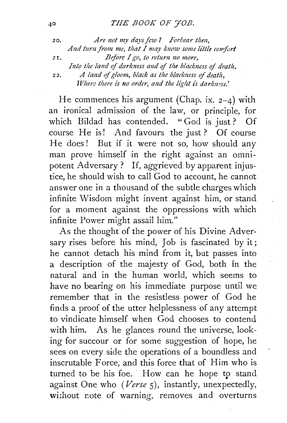2 o. *A re not my days few ? Forbear then,*  And turn from me, that I may know some little comfort *z*<sub>1</sub>, *Before I go, to return no more,* Into the land of *darkness and of the blackness of death*. 22. *A land of gloom, black as the blackness of death, Where there is no order, and the light is darkness.*'

He commences his argument (Chap. ix.  $2-4$ ) with an ironical admission of the law, or principle, for which Bildad has contended. "God is just? Of course He is! And favours the just ? Of course He does! But if it were not so, how should any man prove himself in the right against an omnipotent Adversary? If, aggrieved by apparent injustice, he should wish to call God to account, he cannot answer one in a thousand of the subtle charges which infinite Wisdom might invent against him, or stand for a moment against the oppressions with which infinite Power might assail him."

As the thought of the power of his Divine Adversary rises before his mind, Job is fascinated by it; he cannot detach his mind from it, but passes into a description of the majesty of God, both in the natural and in the human world, which seems to have no bearing on his immediate purpose until we remember that in the resistless power of God he finds a proof of the utter helplessness of any attempt to vindicate himself when God chooses to contend with him. As he glances round the universe, looking for succour or for some suggestion of hope, he sees on every side the operations of a boundless and inscrutable Force, and this force that of Him who is turned to be his foe. How can he hope to stand against One who *(Verse* 5), instantly, unexpectedly, without note of warning, removes and overturns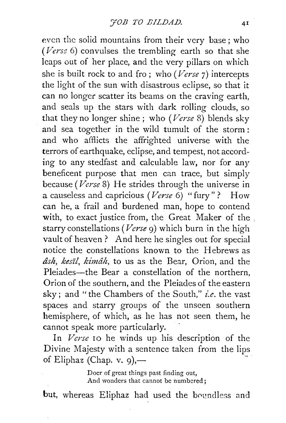even the solid mountains from their very base; who (Verse 6) convulses the trembling earth so that she leaps out of her place, and the very pillars on which she is built rock to and fro; who *(Verse* 7) intercepts the light of the sun with disastrous eclipse, so that it can no longer scatter its beams on the craving earth, and seals up the stars with dark rolling clouds, so that they no longer shine ; who *(Verse* 8) blends sky and sea together in the wild tumult of the storm : and who afflicts the affrighted universe with the terrors of earthquake, eclipse, and tempest, not according to any stedfast and calculable law, nor for any beneficent purpose that men can trace, but simply because *(Verse* 8) He strides through the universe in a causeless and capricious *(Verse* 6) "fury" ? How can he, a frail and burdened man, hope to contend with, to exact justice from, the Great Maker of the starry constellations *(Verse* 9) which burn in the high vault of heaven? And here he singles out for special notice the constellations known to the Hebrews as *ash, kes:zl, kimah,* to us as the Bear, Orion, and the Pleiades-the Bear a constellation of the northern, Orion of the southern, and the Pleiades of the eastern sky; and "the Chambers of the South," *i.e.* the vast spaces and starry groups of the unseen southern hemisphere, of which, as he has not seen them, he cannot speak more particularly.

In *Verse* IO he winds up his description of the Divine Majesty with a sentence taken from the lips of Eliphaz (Chap. v. 9),—

> Doer of great things past finding out, And wonders that cannot be numbered;

but, whereas Eliphaz had used the boundless and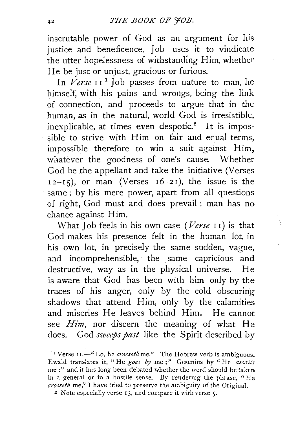inscrutable power of God as an argument for his justice and beneficence, Job uses it to vindicate the utter hopelessness of withstanding Him, whether He be just or unjust, gracious or furious.

In *Verse* II<sup>1</sup> Job passes from nature to man, he himself, with his pains and wrongs, being the link of connection, and proceeds to argue that in the human, as in the natural, world God is irresistible, inexplicable, at times even despotic.<sup>2</sup> It is impossible to strive with Him on fair and equal terms. impossible therefore to win a suit against Him, whatever the goodness of one's cause. Whether God be the appellant and take the initiative (Verses  $12-I_5$ ), or man (Verses  $16-2I$ ), the issue is the same; by his mere power, apart from all questions of right, God must and does prevail : man has no chance against Him.

What Job feels in his own case *(Verse* I r) is that God makes his presence felt in the human lot, in his own lot, in precisely the same sudden, vague, and incomprehensible, the same capricious and destructive, way as in the physical universe. He is aware that God has been with him only by the traces of his anger, only by the cold obscuring shadows that attend Him, only by the calamities and miseries He leaves behind Him. He cannot see *Him,* nor discern the meaning of what He does. God *sweeps past* like the Spirit described by

<sup>&</sup>lt;sup>1</sup> Verse II.<sup>-"</sup> Lo, he *crosseth* me." The Hebrew verb is ambiguous. Ewald translates it, "He *goes by* me;" Gesenius by "He *assails*  me:" and it has long been debated whether the word should be taken in a general or in a hostile sense. By rendering the phrase, "He *crosseth* me," I have tried to preserve the ambiguity of the Original. <sup>2</sup> Note especially verse 13, and compare it with verse 5.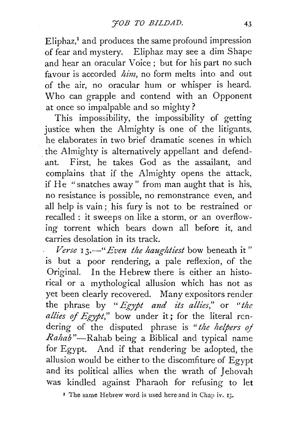Eliphaz/ and produces the same profound impression of fear and mystery. Eliphaz may see a dim Shape and hear an oracular Voice ; but for his part no such favour is accorded *him,* no form melts into and out of the air, no oracular hum or whisper is heard. Who can grapple and contend with an Opponent at once so impalpable and so mighty?

This impossibility, the impossibility of getting justice when the Almighty is one of the litigants, he elaborates in two brief dramatic scenes in which . the Almighty is alternatively appellant and defendant. First, he takes God as the assailant, and complains that if the Almighty opens the attack, if He "snatches away" from man aught that is his, no resistance is possible, no remonstrance even, and all help is vain; his fury is not to be restrained or recalled : it sweeps on like a storm, or an overflowing torrent which bears down all before it, and carries desolation in its track.

*Verse* 13.<sup>-"</sup> *Even the haughtiest* bow beneath it" is but a poor rendering, a pale reflexion, of the Original. In the Hebrew there is either an historical or a mythological allusion which has not as yet been clearly recovered. Many expositors render the phrase by "*Egypt and its allies*," or "the allies of Egypt," bow under it; for the literal rendering of the disputed phrase is *"the helpers oj Rahab* "-Rahab being a Biblical and typical name for Egypt. And if that rendering be adopted, the allusion would be either to the discomfiture of Egypt and its political allies when the wrath of Jehovah was kindled against Pharaoh for refusing to let

<sup>1</sup> The same Hebrew word is used here and in Chap iv.  $15$ .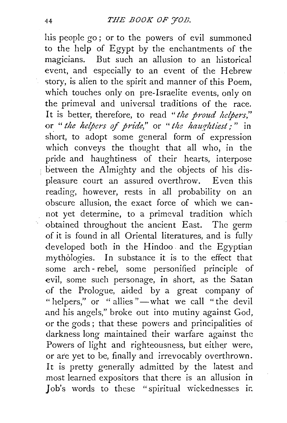his people go; or to the powers of evil summoned to the help of Egypt by the enchantments of the magicians. But such an allusion to an historical event, and especially to an event of the Hebrew story, is alien to the spirit and manner of this Poem, which touches only on pre-Israelite events, only on the primeval and universal traditions of the race. It is better, therefore, to read *''the proud helpers,"*  or *"the helpers* of *pride,"* or *"the haurhtiest;"* in short, to adopt some general form of expression which conveys the thought that all who, in the pride and haughtiness of their hearts, interpose between the Almighty and the objects of his displeasure court an assured overthrow. Even this reading, however, rests in all probability on an obscure allusion, the exact force of which we cannot yet determine, to a primeval tradition which obtained throughout the ancient East. The germ of it is found in all Oriental literatures, and is fully developed both in the Hindoo. and the Egyptian mythologies. In substance it is to the effect that some arch- rebel, some personified principle of evil, some such personage, in short, as the Satan of the Prologue, aided by a great company of "helpers," or "allies"—what we call "the devil and his angels," broke out into mutiny against God, or the gods; that these powers and principalities of darkness long maintained their warfare against the Powers of light and righteousness, but either were, or are yet to be, finally and irrevocably overthrown. It is pretty generally admitted by the latest and most learned expositors that there is an allusion in Job's words to these "spiritual wickednesses ir.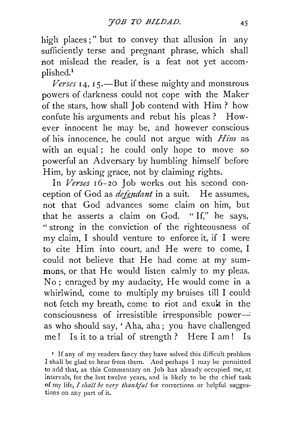high places;" but to convey that allusion in any sufficiently terse and pregnant phrase, which shall not mislead the reader, is a feat not yet accomplished.<sup>1</sup>

 *14, 15.—But if these mighty and monstrous* powers of darkness could not cope with the Maker of the stars, how shall Job contend with Him? how confute his arguments and rebut his pleas ? However innocent he may be, and however conscious of his innocence, he could not argue with *Him* as with an equal; he could only hope to move so powerful an Adversary by humbling himself before Him, by asking grace, not by claiming rights.

In *Verses* 16-20 Job works out his second conception of God as *defendant* in a suit. He assumes, not that God advances some claim on him, but that he asserts a claim on God. " If," he says, " strong in the conviction of the righteousness of my claim, I should venture to enforce it, if I were to cite Him into court, and He were to come, I could not believe that He had come at my summons, or that He would listen calmly to my pleas. No ; enraged by my audacity, He would come in a whirlwind, come to multiply my bruises till I could· not fetch my breath, come to riot and exult in the  $consciousness$  of irresistible irresponsible power $$ as who should say, ' Aha, aha; you have challenged me! Is it to a trial of strength ? Here I am! Is

<sup>1</sup> If any of my readers fancy they have solved this difficult problem I shall be glad to hear from them. And perhaps I may be permitted to add that, as this Commentary on Job has already occupied me, at intervals, for the last twelve years, and is likely to be the chief task of my life, *I shall be very thankful* for corrections or helpful suggestions on any part of it.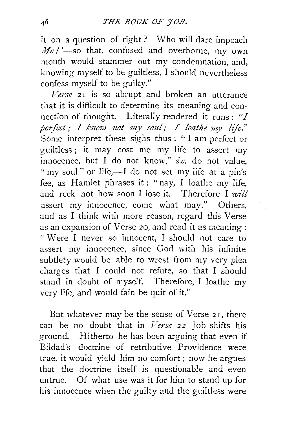it on a question of right ? Who will dare impeach *Me!'*-so that, confused and overborne, my own mouth would stammer out my condemnation, and, knowing myself to be guiltless, I should nevertheless confess myself to be guilty."

*Verse* 21 is so abrupt and broken an utterance that it is difficult to determine its meaning and connection of thought. Literally rendered it runs : *"I pcifect; I know not my soul; I loathe my life."*  Some interpret these sighs thus : " I am perfect or guiltless ; it may cost me my life to assert my innocence, but I do not know," *i.e.* do not value, " my soul " or life,—I do not set my life at a pin's fee, as Hamlet phrases it: "nay, I loathe my life, and reek not how soon I lose it. Therefore I *will*  assert my innocence, come what may." Others, and as I think with more reason, regard this Verse as an expansion of Verse 20, and read it as meaning : " Were I never so innocent, I should not care to assert my innocence, since God with his infinite subtlety would be able to wrest from my very plea charges that I could not refute, so that I should stand in doubt of myself. Therefore, I loathe my very life, and would fain be quit of it.''

But whatever maybe the sense of Verse 21, there can be no doubt that in Verse 22 Job shifts his ground. Hitherto he has been arguing that even if Bildad's doctrine of retributive Providence were true, it would yield him no comfort ; now he argues that the doctrine itself is questionable and even untrue. Of what use was it for him to stand up for his innocence when the guilty and the guiltless were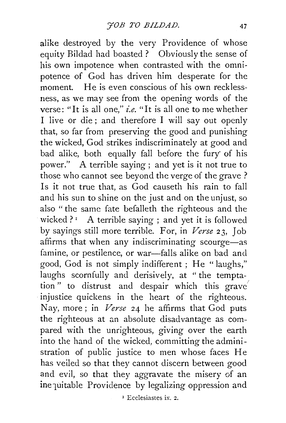alike destroyed by the very Providence of whose equity Bildad had boasted ? Obviously the sense of his own impotence when contrasted with the omnipotence of God has driven him desperate for the moment. He is even conscious of his own recklessness, as we may see from the opening words of the verse: "It is all one," *i.e.* "It is all one to me whether I live or die; and therefore I will say out openly that, so far from preserving the good and punishing the wicked, God strikes indiscriminately at good and bad alike, both equally fall before the fury· of his power." A terrible saying; and yet is it not true to those who cannot see beyond the verge of the grave? Is it not true that, as God causeth his rain to fall and his sun to shine on the just and on the unjust, so also " the same fate befalleth the righteous and the wicked ? $I$  A terrible saying ; and yet it is followed by sayings still more terrible. For, in *Verse* 23, Job affirms that when any indiscriminating scourge-as famine, or pestilence, or war-falls alike on bad and good, God is not simply indifferent ; He "laughs," laughs scornfully and derisively, at "the temptation" to distrust and despair which this grave injustice quickens in the heart of the righteous. Nay, more ; in *Verse* 24 he affirms that God puts the righteous at an absolute disadvantage as compared with the unrighteous, giving over the earth into the hand of the wicked, committing the administration of public justice to men whose faces He has veiled so that they cannot discern between good and evil, so that they aggravate the misery of an inequitable Providence by legalizing oppression and

I Ecclesiastcs ix. 2.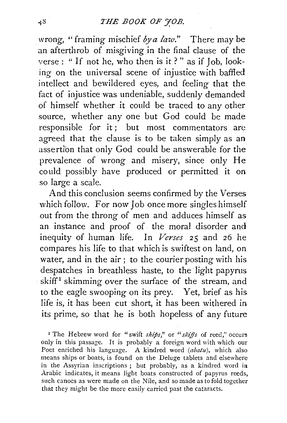wrong, " framing mischief *by a law."* There may be an afterthrob of misgiving in the final clause of the verse : " If not he, who then is it ? " as if Job, looking on the universal scene of injustice with baffled intellect and bewildered eyes, and feeling that the fact of injustice was undeniable, suddenly demanded of himself whether it could be traced to any other source, whether any one but God could be made responsible for it; but most commentators arc agreed that the clause is to be taken simply as an assertion that only God could be answerable for the prevalence of wrong and misery, since only He could possibly have produced or permitted it on so large a scale.

And this conclusion seems confirmed by the Verses which follow. For now Job once more singles himself out from the throng of men and adduces himself as an instance and proof of . the moral disorder and inequity of human life. In *Verses* 25 and 26 he compares his life to that which is swiftest on land, on water, and in the air ; to the courier posting with his despatches in breathless haste, to the light papyrus skiff<sup>1</sup> skimming over the surface of the stream, and to the eagle swooping on its prey. Yet, brief as his life is, it has been cut short, it has been withered in its prime, so that he is both hopeless of any future

<sup>1</sup> The Hebrew word for "swift *ships*," or "*skiffs* of reed," occurs only in this passage. It is probably a foreign word with which our Poet enriched his language. A kindred word  $(abatu)$ , which also means ships or boats, is found on the Deluge tablets and elsewhere in the Assyrian inscriptions ; but probably, as a kindred word ia Arabic indicates, it means light boats constructed of papyrus reeds, such canoes as were made on the Nile, and so made as to fold together that they might be the more easily carried past the cataracts.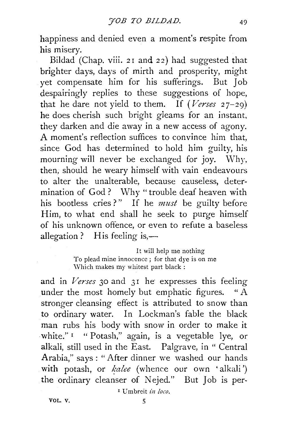happiness and denied even a moment's respite from his misery.

Bildad (Chap. viii. 21 and 22) had suggested that brighter days, days of mirth and prosperity, might yet compensate him for his sufferings. But Job despairingly replies to these suggestions of hope, that he dare not yield to them. If *(Verses* 27-29) he does cherish such bright gieams for an instant, they darken and die away in a new access of agony. A moment's reflection suffices to convince him that, since God has determined to hold him guilty, his mourning will never be exchanged for joy. Why, then, should he weary himself with vain endeavours to alter the unalterable, because causeless, determination of God? Why "trouble deaf heaven with his bootless cries?" If he *must* be guilty before Him, to what end shall he seek to purge himself of his unknown offence, or even to refute a baseless allegation ? His feeling is, $-$ 

> It will help me nothing To plead mine innocence; for that dye is on me Which makes my whitest part black:

and in *Verses* 30 and 31 he expresses this feeling under the most homely but emphatic figures. " A stronger cleansing effect is attributed to snow than to ordinary water. In Lockman's fable the black man rubs his body with snow in order to make it white."<sup>1</sup> "Potash," again, is a vegetable lye, or alkali, still used in the East. Palgrave, in " Central Arabia," says: "After dinner we washed our hands with potash, or  $\mathit{kalee}$  (whence our own 'alkali') the ordinary cleanser of Nejed." But Job is per-

x Umbreit *in loco.*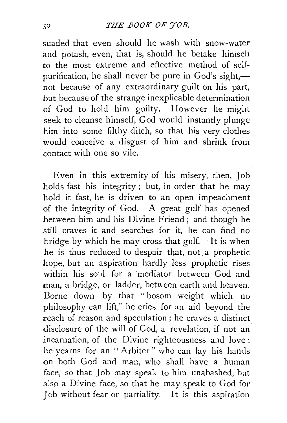suaded that even should he wash with snow-water and potash, even, that is, should he betake himselr to the most extreme and effective method of  $se^{t}$ purification, he shall never be pure in God's sight, $\rightarrow$ not because of any extraordinary guilt on his part, but because of the strange inexplicable determination of God to hold him guilty. However he might seek to cleanse himself, God would instantly plunge him into some filthy ditch, so that his very clothes would conceive a disgust of him and shrink from contact with one so vile.

Even in this extremity of his misery, then, Job holds fast his integrity; but, in order that he may hold it fast, he is driven to an open impeachment of the integrity of God. A great gulf has opened between him and his Divine Friend; and though he still craves it and searches for it, he can find no bridge by which he may cross that gulf. It is when he is thus reduced to despair that, not a prophetic hope, but an aspiration hardly less prophetic rises within his soul for a mediator between God and man, a bridge, or ladder, between earth and heaven. Borne down by that "bosom weight which no philosophy can lift," he cries for an aid beyond the reach of reason and speculation; he craves a distinct disclosure of the will of God, a revelation, if not an incarnation, of the Divine righteousness and love : he yearns for an "Arbiter" who can lay his hands on both God and man, who shall have a human face, so that Job may speak to him unabashed, but also a Divine face, so that he may speak to God for Job without fear or partiality. It is this aspiration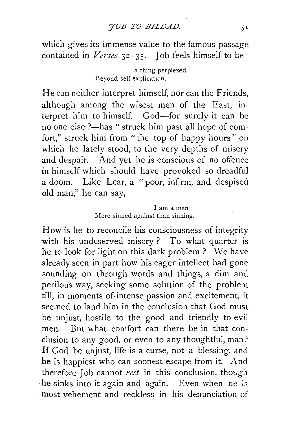which gives its immense value to the famous passage contained in *Verses* 32-35. Job feels himself to be

#### a thing perplexed Bevond self-explication.

He can neither interpret himself, nor can the Friends, although among the wisest men of the East, interpret him to himself. God-for surely it can be no one else ?-has " struck him past all hope of comfort," struck him from "the top of happy hours" on which he lately stood, to the very depths of misery and despair. And yet he is conscious of no offence in himself which should have provoked so dreadful a doom. Like Lear, a " poor, infirm, and despised old man," he can say,

#### I am a man More sinned against than sinning.

How is he to reconcile his consciousness of integrity with his undeserved misery? To what quarter is he to look for light on this dark problem ? We have already seen in part how his eager intellect had gone sounding on through words and things, a dim and perilous way, seeking some solution of the problem till, in moments of. intense passion and excitement, it seemed to land him in the conclusion that God must be unjust, hostile to the good and friendly to evil men. But what comfort can there be in that conclusion to any good, or even to any thoughtful, man? If God be unjust, life is a curse, not a blessing, and he is happiest who can soonest escape from it. And therefore Job cannot *rest* in this conclusion, though he sinks into it again and again. Even when  $n e$  is most vehement and reckless in his denunciation of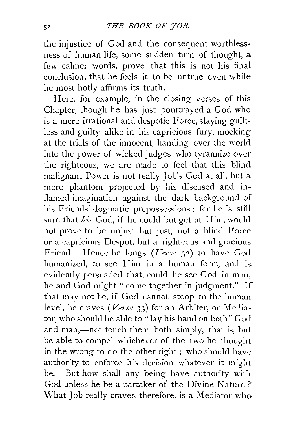the injustice of God and the consequent worthless· ness of human life, some sudden turn of thought, a few calmer words, prove that this is not his final conclusion, that he feels it to be untrue even while he most hotly affirms its truth.

Here, for example, in the closing verses of this. Chapter, though he has just pourtrayed a God who· is a mere irrational and despotic Force, slaying guiltless and guilty alike in his capricious fury, mocking at the trials of the innocent, handing over the world into the power of wicked judges who tyrannize over the righteous, we are made to feel that this blind malignant Power is not really Job's God at all, but a mere phantom projected by his diseased and inflamed imagination against the dark background of his Friends' dogmatic prepossessions: for he is still sure that *his* God, if he could but get at Him, would not prove to be unjust but just, not a blind Porce or a capricious Despot, but a righteous and gracious. Friend. Hence he longs *(Verse* 32) to have God humanized, to see Him in a human form, and is. evidently persuaded that, could he see God in man, he and God might '' come together in judgment." If that may not be, if God cannot stoop to the human level, he craves *(Verse* 33) for an Arbiter, or Mediator, who should be able to "lay his hand on both" God' and man,—not touch them both simply, that is, but: be able to compel whichever of the two he thought in the wrong to do the other right ; who should have authority to enforce his decision whatever it might be. But how shall any being have authority with God unless he be a partaker of the Divine Nature ?· What Job really craves, therefore, is a Mediator who.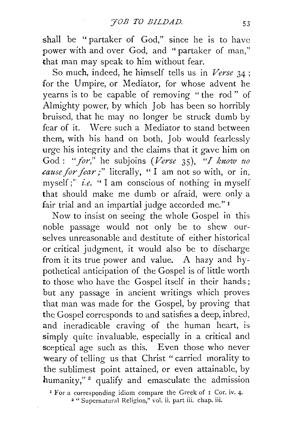shall be "partaker of God," since he is to have power with and over God, and " partaker of man,'' that man may speak to him without fear.

So much, indeed, he himself tells us in *Verse* 34 ; for the Umpire, or Mediator, for whose advent he yearns is to be capable of removing " the rod " of Almighty power, by which Job has been so horribly bruised, that he may no longer be struck dumb by fear of it. Were such a Mediator to stand between them, with his hand on both, Job would fearlessly urge his integrity and the claims that it gave him on God : "for," he subjoins *(Verse* 35), "I know no *cause for fear;"* literally, " I am not so with, or in, myself;'' *i.e.* " I am conscious of nothing in myself that should make me dumb or afraid, were only a fair trial and an impartial judge accorded me."<sup>1</sup>

Now to insist on seeing the whole Gospel in this noble passage would not only be to shew ourselves unreasonable and destitute of either historical or critical judgment, it would also be to discharge from it its true power and value. A hazy and hypothetical anticipation of the Gospel is of little worth to those who have the Gospel itself in their hands; but any passage in ancient writings which proves that man was made for the Gospel, by proving that the Gospel corresponds to and satisfies a deep, inbred, and ineradicable craving of the human heart, is simply quite invaluable, especially in a critical and sceptical age such as this. Even those who never weary of telling us that Christ "carried morality to the sublimest point attained, or even attainable, by humanity," $2$  qualify and emasculate the admission

<sup>1</sup> For a corresponding idiom compare the Greek of  $\bar{1}$  Cor. iv. 4.  $\bar{2}$  "Supernatural Religion," vol. ii. part iii. chap. iii.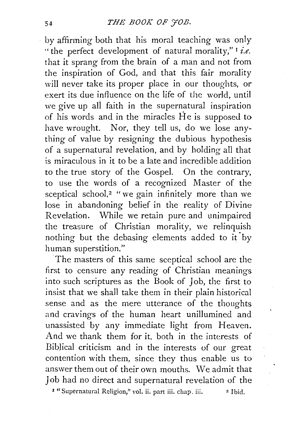by affirming both that his moral teaching was only "the perfect development of natural morality," 1 *i.e.* that it sprang from the brain of a man and not from the inspiration of God, and that this fair morality will never take its proper place in our thoughts, or exert its due influence on the life of the world, until we give up ali faith in the supernatural inspiration of his words and in the miracles  $\dot{H}$ e is supposed to have wrought. Nor, they tell us, do we lose anything of value by resigning the dubious hypothesis of a supernatural revelation, and by holding ali that is miraculous in it to be a late and incredible addition to the true story of the Gospel. On the contrary, to use the words of a recognized Master of the sceptical school,<sup>2</sup> "we gain infinitely more than we lose in abandoning belief in the reality of Divine Revelation. While we retain pure and unimpaired the treasure of Christian morality, we relinquish nothing but the debasing elements added to it by human superstition."

The masters of this same sceptical school are the first to censure any reading of Christian meanings into such scriptures as the Book of *]* ob, the first to insist that we shall take them in their plain historical sense and as the mere utterance of the thoughts and cravings of the human heart unillumined and unassisted by any immediate light from Heaven. And we thank them for it, both in the interests of Biblical criticism and in the interests of our great contention with them, since they thus enable us to answer them out of their own mouths. We admit that Job had no direct and supernatural revelation of the 1 "Supernatural Religion," vol. ii. part iii. chap. iii. 2 Ibid.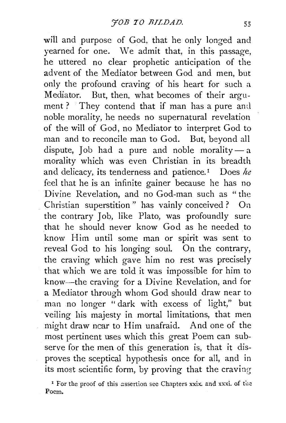will and purpose of God, that he only longed and yearned for one. We admit that, in this passage, he uttered no clear prophetic anticipation of the advent of the Mediator between God and men, but only the profound craving of his heart for such a Mediator. But, then, what becomes of their argument? They contend that if man has a pure and noble morality, he needs no supernatural revelation of the will of God, no Mediator to interpret God to man and to reconcile man to God. But, beyond all dispute, Job had a pure and noble morality $-$ a morality which was even Christian in its breadth and delicacy, its tenderness and patience.<sup>1</sup> Does *he* feel that he is an infinite gainer because he has no Divine Revelation, and no God-man such as "the Christian superstition" has vainly conceived? On the contrary Job, like Plato, was profoundly sure that he should never know God as he needed to know Him until some man or spirit was sent to reveal God to his longing soul. On the contrary, the craving which gave him no rest was precisely that which we are told it was impossible for him to know-the craving for a Divine Revelation, and for a Mediator through whom God should draw near to man no longer "dark with excess of light," but veiling his majesty in mortal limitations, that men might draw near to Him unafraid. And one of the most pertinent uses which this great Poem can subserve for the men of this generation is, that it disproves the sceptical hypothesis once for all, and in its most scientific form, by proving that the craving

<sup>&</sup>lt;sup>1</sup> For the proof of this assertion see Chapters xxix. and xxxi. of the Poem.